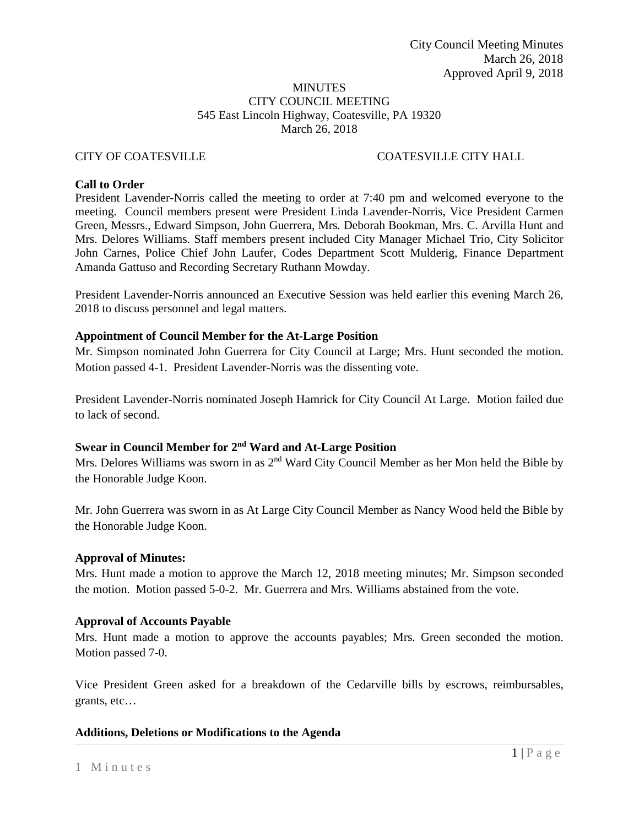#### MINUTES CITY COUNCIL MEETING 545 East Lincoln Highway, Coatesville, PA 19320 March 26, 2018

## CITY OF COATESVILLE COATESVILLE CITY HALL

#### **Call to Order**

President Lavender-Norris called the meeting to order at 7:40 pm and welcomed everyone to the meeting. Council members present were President Linda Lavender-Norris, Vice President Carmen Green, Messrs., Edward Simpson, John Guerrera, Mrs. Deborah Bookman, Mrs. C. Arvilla Hunt and Mrs. Delores Williams. Staff members present included City Manager Michael Trio, City Solicitor John Carnes, Police Chief John Laufer, Codes Department Scott Mulderig, Finance Department Amanda Gattuso and Recording Secretary Ruthann Mowday.

President Lavender-Norris announced an Executive Session was held earlier this evening March 26, 2018 to discuss personnel and legal matters.

#### **Appointment of Council Member for the At-Large Position**

Mr. Simpson nominated John Guerrera for City Council at Large; Mrs. Hunt seconded the motion. Motion passed 4-1. President Lavender-Norris was the dissenting vote.

President Lavender-Norris nominated Joseph Hamrick for City Council At Large. Motion failed due to lack of second.

## **Swear in Council Member for 2nd Ward and At-Large Position**

Mrs. Delores Williams was sworn in as  $2<sup>nd</sup>$  Ward City Council Member as her Mon held the Bible by the Honorable Judge Koon.

Mr. John Guerrera was sworn in as At Large City Council Member as Nancy Wood held the Bible by the Honorable Judge Koon.

#### **Approval of Minutes:**

Mrs. Hunt made a motion to approve the March 12, 2018 meeting minutes; Mr. Simpson seconded the motion. Motion passed 5-0-2. Mr. Guerrera and Mrs. Williams abstained from the vote.

#### **Approval of Accounts Payable**

Mrs. Hunt made a motion to approve the accounts payables; Mrs. Green seconded the motion. Motion passed 7-0.

Vice President Green asked for a breakdown of the Cedarville bills by escrows, reimbursables, grants, etc…

#### **Additions, Deletions or Modifications to the Agenda**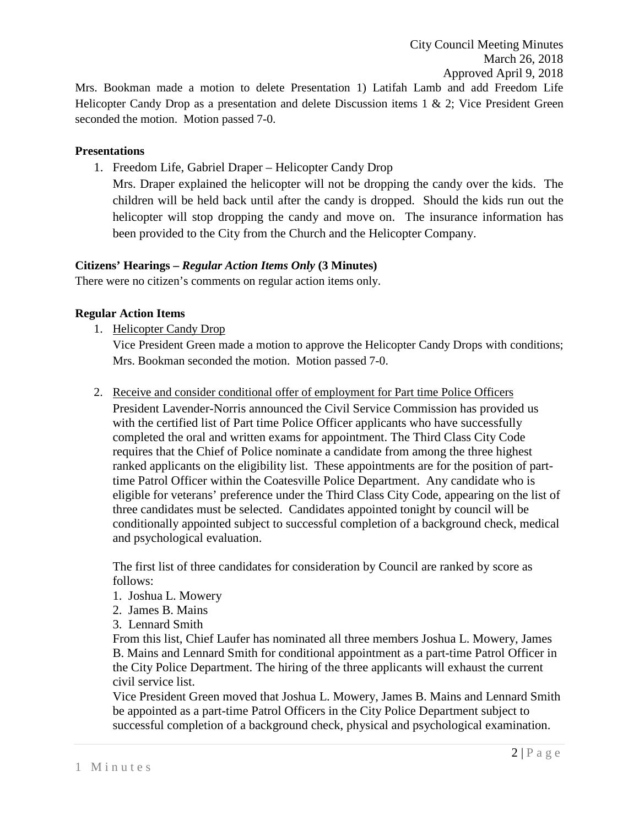Mrs. Bookman made a motion to delete Presentation 1) Latifah Lamb and add Freedom Life Helicopter Candy Drop as a presentation and delete Discussion items 1 & 2; Vice President Green seconded the motion. Motion passed 7-0.

## **Presentations**

1. Freedom Life, Gabriel Draper – Helicopter Candy Drop

Mrs. Draper explained the helicopter will not be dropping the candy over the kids. The children will be held back until after the candy is dropped. Should the kids run out the helicopter will stop dropping the candy and move on. The insurance information has been provided to the City from the Church and the Helicopter Company.

# **Citizens' Hearings –** *Regular Action Items Only* **(3 Minutes)**

There were no citizen's comments on regular action items only.

# **Regular Action Items**

1. Helicopter Candy Drop

Vice President Green made a motion to approve the Helicopter Candy Drops with conditions; Mrs. Bookman seconded the motion. Motion passed 7-0.

2. Receive and consider conditional offer of employment for Part time Police Officers

President Lavender-Norris announced the Civil Service Commission has provided us with the certified list of Part time Police Officer applicants who have successfully completed the oral and written exams for appointment. The Third Class City Code requires that the Chief of Police nominate a candidate from among the three highest ranked applicants on the eligibility list. These appointments are for the position of parttime Patrol Officer within the Coatesville Police Department. Any candidate who is eligible for veterans' preference under the Third Class City Code, appearing on the list of three candidates must be selected. Candidates appointed tonight by council will be conditionally appointed subject to successful completion of a background check, medical and psychological evaluation.

The first list of three candidates for consideration by Council are ranked by score as follows:

- 1. Joshua L. Mowery
- 2. James B. Mains
- 3. Lennard Smith

From this list, Chief Laufer has nominated all three members Joshua L. Mowery, James B. Mains and Lennard Smith for conditional appointment as a part-time Patrol Officer in the City Police Department. The hiring of the three applicants will exhaust the current civil service list.

Vice President Green moved that Joshua L. Mowery, James B. Mains and Lennard Smith be appointed as a part-time Patrol Officers in the City Police Department subject to successful completion of a background check, physical and psychological examination.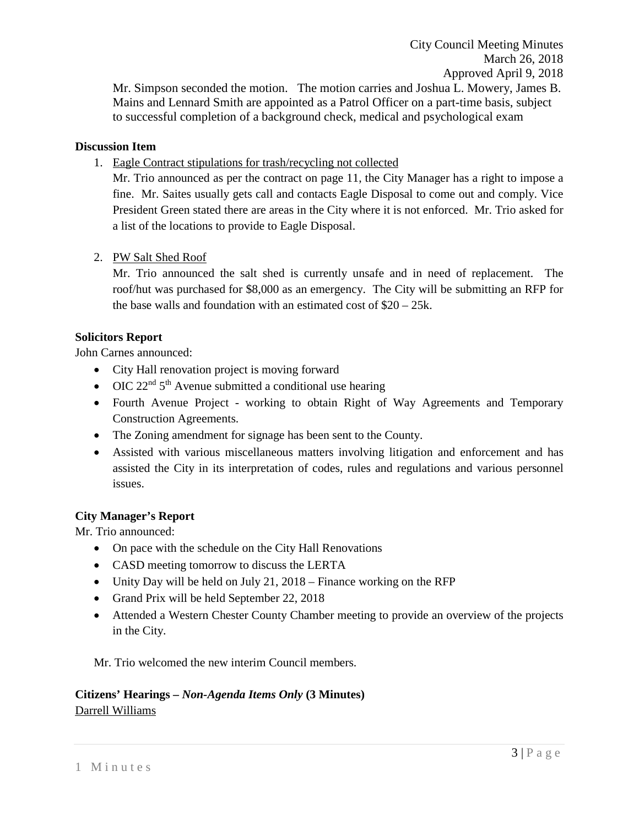City Council Meeting Minutes March 26, 2018 Approved April 9, 2018

Mr. Simpson seconded the motion. The motion carries and Joshua L. Mowery, James B. Mains and Lennard Smith are appointed as a Patrol Officer on a part-time basis, subject to successful completion of a background check, medical and psychological exam

## **Discussion Item**

1. Eagle Contract stipulations for trash/recycling not collected

Mr. Trio announced as per the contract on page 11, the City Manager has a right to impose a fine. Mr. Saites usually gets call and contacts Eagle Disposal to come out and comply. Vice President Green stated there are areas in the City where it is not enforced. Mr. Trio asked for a list of the locations to provide to Eagle Disposal.

## 2. PW Salt Shed Roof

Mr. Trio announced the salt shed is currently unsafe and in need of replacement. The roof/hut was purchased for \$8,000 as an emergency. The City will be submitting an RFP for the base walls and foundation with an estimated cost of \$20 – 25k.

#### **Solicitors Report**

John Carnes announced:

- City Hall renovation project is moving forward
- OIC  $22<sup>nd</sup> 5<sup>th</sup>$  Avenue submitted a conditional use hearing
- Fourth Avenue Project working to obtain Right of Way Agreements and Temporary Construction Agreements.
- The Zoning amendment for signage has been sent to the County.
- Assisted with various miscellaneous matters involving litigation and enforcement and has assisted the City in its interpretation of codes, rules and regulations and various personnel issues.

## **City Manager's Report**

Mr. Trio announced:

- On pace with the schedule on the City Hall Renovations
- CASD meeting tomorrow to discuss the LERTA
- Unity Day will be held on July 21, 2018 Finance working on the RFP
- Grand Prix will be held September 22, 2018
- Attended a Western Chester County Chamber meeting to provide an overview of the projects in the City.

Mr. Trio welcomed the new interim Council members.

# **Citizens' Hearings –** *Non-Agenda Items Only* **(3 Minutes)** Darrell Williams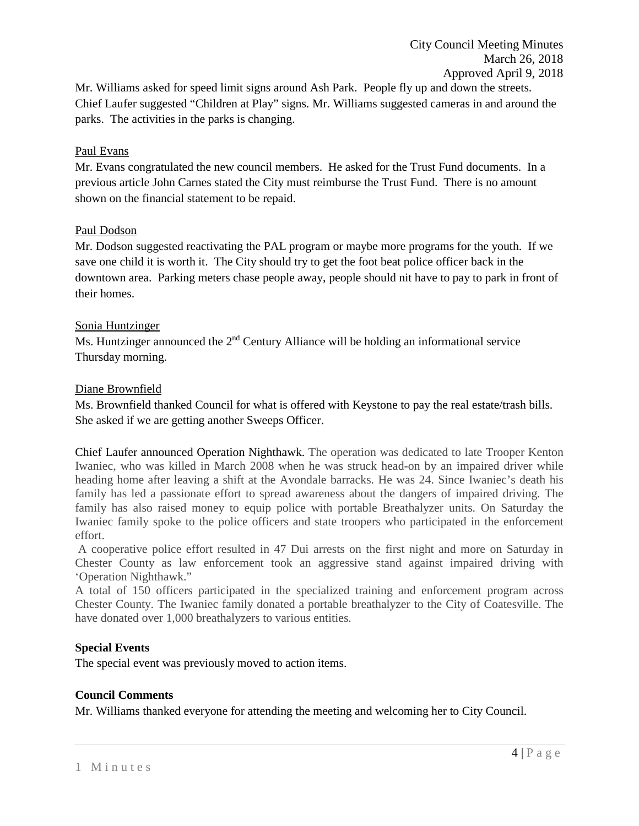Mr. Williams asked for speed limit signs around Ash Park. People fly up and down the streets. Chief Laufer suggested "Children at Play" signs. Mr. Williams suggested cameras in and around the parks. The activities in the parks is changing.

## Paul Evans

Mr. Evans congratulated the new council members. He asked for the Trust Fund documents. In a previous article John Carnes stated the City must reimburse the Trust Fund. There is no amount shown on the financial statement to be repaid.

## Paul Dodson

Mr. Dodson suggested reactivating the PAL program or maybe more programs for the youth. If we save one child it is worth it. The City should try to get the foot beat police officer back in the downtown area. Parking meters chase people away, people should nit have to pay to park in front of their homes.

## Sonia Huntzinger

Ms. Huntzinger announced the  $2<sup>nd</sup>$  Century Alliance will be holding an informational service Thursday morning.

## Diane Brownfield

Ms. Brownfield thanked Council for what is offered with Keystone to pay the real estate/trash bills. She asked if we are getting another Sweeps Officer.

Chief Laufer announced Operation Nighthawk. The operation was dedicated to late Trooper Kenton Iwaniec, who was killed in March 2008 when he was struck head-on by an impaired driver while heading home after leaving a shift at the Avondale barracks. He was 24. Since Iwaniec's death his family has led a passionate effort to spread awareness about the dangers of impaired driving. The family has also raised money to equip police with portable Breathalyzer units. On Saturday the Iwaniec family spoke to the police officers and state troopers who participated in the enforcement effort.

A cooperative police effort resulted in 47 Dui arrests on the first night and more on Saturday in Chester County as law enforcement took an aggressive stand against impaired driving with 'Operation Nighthawk."

A total of 150 officers participated in the specialized training and enforcement program across Chester County. The Iwaniec family donated a portable breathalyzer to the City of Coatesville. The have donated over 1,000 breathalyzers to various entities.

# **Special Events**

The special event was previously moved to action items.

## **Council Comments**

Mr. Williams thanked everyone for attending the meeting and welcoming her to City Council.